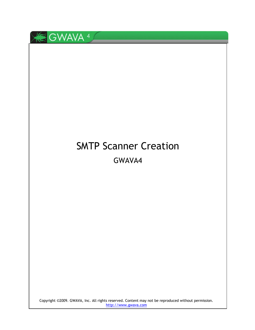

# SMTP Scanner Creation GWAVA4

Copyright ©2009. GWAVA, Inc. All rights reserved. Content may not be reproduced without permission. [http://www.gwava.com](http://www.gwava.com/)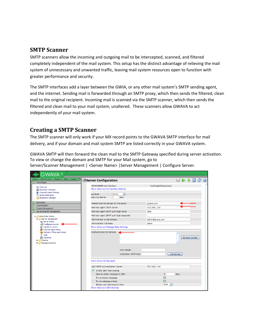# **SMTP Scanner**

SMTP scanners allow the incoming and outgoing mail to be intercepted, scanned, and filtered completely independent of the mail system. This setup has the distinct advantage of relieving the mail system of unnecessary and unwanted traffic, leaving mail system resources open to function with greater performance and security.

The SMTP interfaces add a layer between the GWIA, or any other mail system's SMTP sending agent, and the internet. Sending mail is forwarded through an SMTP proxy, which then sends the filtered, clean mail to the original recipient. Incoming mail is scanned via the SMTP scanner, which then sends the filtered and clean mail to your mail system, unaltered. These scanners allow GWAVA to act independently of your mail system.

# **Creating a SMTP Scanner**

The SMTP scanner will only work if your MX record points to the GWAVA SMTP interface for mail delivery, and if your domain and mail system SMTP are listed correctly in your GWAVA system.

GWAVA SMTP will then forward the clean mail to the SMTP Gateway specified during server activation. To view or change the domain and SMTP for your Mail system, go to Server/Scanner Management | <Server Name> |Server Management | Configure Server.

| GWAVA                                                                                                                  |                                                                                    |                         |
|------------------------------------------------------------------------------------------------------------------------|------------------------------------------------------------------------------------|-------------------------|
| GWAVA.com   Support   Help   Logout<br>Home                                                                            | Server Configuration                                                               | 日本名図念                   |
| <b>Home Pages</b><br><b>Melcome</b><br>Recorded webinars                                                               | <b>GWAVAMAN root directory</b><br>Show Advanced Connectivity Settings              | /opt/beginfinite/gwava/ |
| Computer based training<br>Quick install quide<br>dia Quarantine manager                                               | Log level<br>Normal<br>$\overline{\mathbf{v}}$<br>Keep log files for<br>17<br>days |                         |
| <b>Bookmarks</b>                                                                                                       | Default internet domain for this server                                            | gwava.com               |
| <b>Documentation</b><br>System Management                                                                              | Mail relay agent SMTP Server                                                       | 192.168.1.101           |
| Server/Scanner Management                                                                                              | Mail relay agent SMTP auth login name                                              | chris                   |
| gwava-iso (Linux)                                                                                                      | Mail relay agent SMTP auth login password                                          |                         |
| Server management<br>Server status                                                                                     | Administrator e-mail address                                                       | admin@gwava.com         |
| Configure server                                                                                                       | Administrator Full Name                                                            | admin                   |
| Appliance control<br>Antivirus agent setup                                                                             | Show Advanced Message Relay Settings                                               |                         |
| SigSpam / IPRep agent setup<br><b>D</b> Logs<br>Licensing<br><b>E</b> <i>Nizards</i><br>Manage scanners<br><b>FLOW</b> | Additional internet domains                                                        | Remove Domain           |
|                                                                                                                        | New domain<br>Destination SMTP host                                                | Add Domain              |
|                                                                                                                        | Proxy Server Configuration                                                         |                         |
|                                                                                                                        | OMS SMTP Authentication Server                                                     | 192.168.1.101           |
|                                                                                                                        | ☑<br>Enable OMS data pruning                                                       |                         |
|                                                                                                                        | Days to retain messages in OMS                                                     | 30<br>davs              |
|                                                                                                                        | Prune stored messages                                                              | ☑                       |
|                                                                                                                        | Prune database entries                                                             | ☑                       |
|                                                                                                                        | Backup and maintenance time<br>Show Advanced QMS Settings                          | 02:00<br>$\checkmark$   |
|                                                                                                                        |                                                                                    |                         |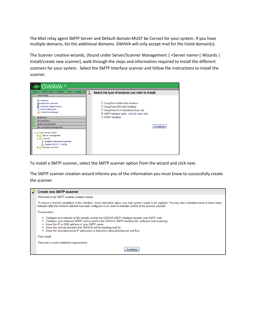The Mail relay agent SMTP Server and Default domain MUST be Correct for your system. If you have multiple domains, list the additional domains. GWAVA will only accept mail for the listed domain(s).

The Scanner creation wizards, (found under Server/Scanner Management | <Server name>| Wizards | Install/create new scanner), walk through the steps and information required to install the different scanners for your system. Select the SMTP Interface scanner and follow the instructions to install the scanner.



To install a SMTP scanner, select the SMTP scanner option from the wizard and click next.

The SMTP scanner creation wizard informs you of the information you must know to successfully create the scanner.

| <b>Create new SMTP scanner</b>                                                                                                                                                                                                                                                                                                                                                                                                                       |
|------------------------------------------------------------------------------------------------------------------------------------------------------------------------------------------------------------------------------------------------------------------------------------------------------------------------------------------------------------------------------------------------------------------------------------------------------|
| Welcome to the SMTP scanner creation wizard.                                                                                                                                                                                                                                                                                                                                                                                                         |
| To ensure a smooth installation of this interface, some information about your mail system needs to be supplied. You may also undertake some of these steps<br>manually after the GWAVA network has been configured if you wish to maintain control of the process yourself.                                                                                                                                                                         |
| Prerequisites:                                                                                                                                                                                                                                                                                                                                                                                                                                       |
| o Configure your network or MX records so that the GWAVA SMTP interface receives your SMTP mail.<br>Configure your outbound SMTP mail to point to the GWAVA SMTP interface (for outbound mail scanning).<br>$\circ$<br>o Know the IP or DNS address of your SMTP server.<br>Know the internet domains that GWAVA will be handling mail for.<br>$\circ$<br>Know the internal/external IP addresses to determine inbound/outbound mail flow<br>$\circ$ |
| Post install:                                                                                                                                                                                                                                                                                                                                                                                                                                        |
| There are no post installation requirements.                                                                                                                                                                                                                                                                                                                                                                                                         |
| Continue                                                                                                                                                                                                                                                                                                                                                                                                                                             |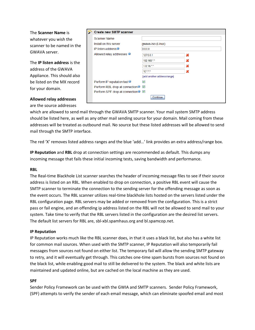The **Scanner Name** is whatever you wish the scanner to be named in the GWAVA server.

The **IP listen address** is the address of the GWAVA Appliance. This should also be listed on the MX record for your domain.

### **Allowed relay addresses** are the source addresses

| <b>Create new SMTP scanner</b>              |                             |   |
|---------------------------------------------|-----------------------------|---|
| Scanner Name                                |                             |   |
| Install on this server                      | gwava-iso (Linux)           |   |
| IP listen address <sup>@</sup>              | 0.0.0.0                     |   |
| Allowed relay addresses                     | 127.0.0.1                   | х |
|                                             | 192.168.*.*                 | х |
|                                             | 172.16.*.*                  | х |
|                                             | $10.*.*$                    | Х |
|                                             | [add another address/range] |   |
| Perform IP reputation test <sup>o</sup>     | ▽                           |   |
| Perform RBL drop at connection <sup>®</sup> | ▽                           |   |
| Perform SPF drop at connection ■            |                             |   |
|                                             | Continue                    |   |

which are allowed to send mail through the GWAVA SMTP scanner. Your mail system SMTP address should be listed here, as well as any other mail sending source for your domain. Mail coming from these addresses will be treated as outbound mail. No source but these listed addresses will be allowed to send mail through the SMTP interface.

The red 'X' removes listed address ranges and the blue 'add…' link provides an extra address/range box.

**IP Reputation** and **RBL** drop at connection settings are recommended as default. This dumps any incoming message that fails these initial incoming tests, saving bandwidth and performance.

## **RBL**

The Real-time Blackhole List scanner searches the header of incoming message files to see if their source address is listed on an RBL. When enabled to drop on connection, a positive RBL event will cause the SMTP scanner to terminate the connection to the sending server for the offending message as soon as the event occurs. The RBL scanner utilizes real-time blackhole lists hosted on the servers listed under the RBL configuration page. RBL servers may be added or removed from the configuration. This is a strict pass or fail engine, and an offending ip address listed on the RBL will not be allowed to send mail to your system. Take time to verify that the RBL servers listed in the configuration are the desired list servers. The default list servers for RBL are, sbl-xbl.spamhaus.org and bl.spamcop.net.

#### **IP Reputation**

IP Reputation works much like the RBL scanner does, in that it uses a black list, but also has a white list for common mail sources. When used with the SMTP scanner, IP Reputation will also temporarily fail messages from sources not found on either list. The temporary fail will allow the sending SMTP gateway to retry, and it will eventually get through. This catches one-time spam bursts from sources not found on the black list, while enabling good mail to still be delivered to the system. The black and white lists are maintained and updated online, but are cached on the local machine as they are used.

#### **SPF**

Sender Policy Framework can be used with the GWIA and SMTP scanners. Sender Policy Framework, (SPF) attempts to verify the sender of each email message, which can eliminate spoofed email and most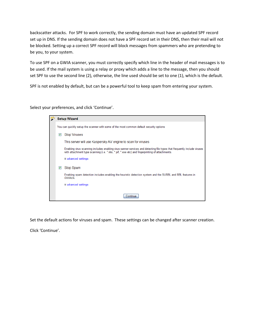backscatter attacks. For SPF to work correctly, the sending domain must have an updated SPF record set up in DNS. If the sending domain does not have a SPF record set in their DNS, then their mail will not be blocked. Setting up a correct SPF record will block messages from spammers who are pretending to be you, to your system.

To use SPF on a GWIA scanner, you must correctly specify which line in the header of mail messages is to be used. If the mail system is using a relay or proxy which adds a line to the message, then you should set SPF to use the second line (2), otherwise, the line used should be set to one (1), which is the default.

SPF is not enabled by default, but can be a powerful tool to keep spam from entering your system.

Select your preferences, and click 'Continue'.

|   | <b>Setup Wizard</b>                                                                                                                                                                                                         |
|---|-----------------------------------------------------------------------------------------------------------------------------------------------------------------------------------------------------------------------------|
|   | You can quickly setup the scanner with some of the most common default security options                                                                                                                                     |
| M | <b>Stop Viruses</b>                                                                                                                                                                                                         |
|   | This server will use Kaspersky AV engine to scan for viruses                                                                                                                                                                |
|   | Enabling virus scanning includes enabling virus sanner services and detecting file types that frequently include viruses<br>with attachment type scanning (i.e. *.vbs, *.pif, *.exe etc) and fingerprinting of attachments. |
|   | advanced settings                                                                                                                                                                                                           |
| M | <b>Stop Spam</b>                                                                                                                                                                                                            |
|   | Enabling spam detection includes enabling the heuristic detection system and the SURBL and RBL features in<br>GWAVA                                                                                                         |
|   | advanced settings                                                                                                                                                                                                           |
|   | Continue                                                                                                                                                                                                                    |

Set the default actions for viruses and spam. These settings can be changed after scanner creation.

Click 'Continue'.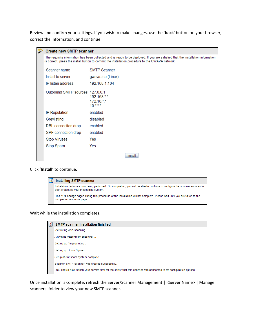Review and confirm your settings. If you wish to make changes, use the '**back**' button on your browser, correct the information, and continue.

| <b>Create new SMTP scanner</b>  |                                                                                                                                                                                                                                     |
|---------------------------------|-------------------------------------------------------------------------------------------------------------------------------------------------------------------------------------------------------------------------------------|
|                                 | The requisite information has been collected and is ready to be deployed. If you are satisfied that the installation information<br>is correct, press the install button to commit the installation procedure to the GWAVA network. |
| Scanner name                    | <b>SMTP Scanner</b>                                                                                                                                                                                                                 |
| Install to server               | gwava-iso (Linux)                                                                                                                                                                                                                   |
| IP listen address               | 192 168 1 104                                                                                                                                                                                                                       |
| Outbound SMTP sources 127.0.0.1 | 192.168.**<br>172.16.**<br>$10.$ *.*.*                                                                                                                                                                                              |
| <b>IP Reputation</b>            | enabled                                                                                                                                                                                                                             |
| Greylisting                     | disabled                                                                                                                                                                                                                            |
| RBL connection drop             | enabled                                                                                                                                                                                                                             |
| SPF connection drop             | enabled                                                                                                                                                                                                                             |
| <b>Stop Viruses</b>             | Yes                                                                                                                                                                                                                                 |
| Stop Spam                       | Yes                                                                                                                                                                                                                                 |
|                                 | Install                                                                                                                                                                                                                             |

Click '**Install**' to continue.

| <b>Installing SMTP scanner</b>                                                                                                                                          |
|-------------------------------------------------------------------------------------------------------------------------------------------------------------------------|
| Installation tasks are now being performed. On completion, you will be able to continue to configure the scanner services to<br>start protecting your messaging system. |
| DO NOT change pages during this procedure or the installation will not complete. Please wait until you are taken to the<br>completion response page.                    |

Wait while the installation completes.

| $\overline{\mathbf{z}}$ | <b>SMTP scanner installation finished</b>                                                                             |
|-------------------------|-----------------------------------------------------------------------------------------------------------------------|
|                         | Activating virus scanning                                                                                             |
|                         | Activating Attachment Blocking                                                                                        |
|                         | Setting up Fingerprinting                                                                                             |
|                         | Setting up Spam System                                                                                                |
|                         | Setup of Antispam system complete.                                                                                    |
|                         | Scanner 'SMTP Scanner' was created successfully.                                                                      |
|                         | You should now refresh your servers view for the server that this scanner was connected to for configuration options. |

Once installation is complete, refresh the Server/Scanner Management | <Server Name> | Manage scanners folder to view your new SMTP scanner.